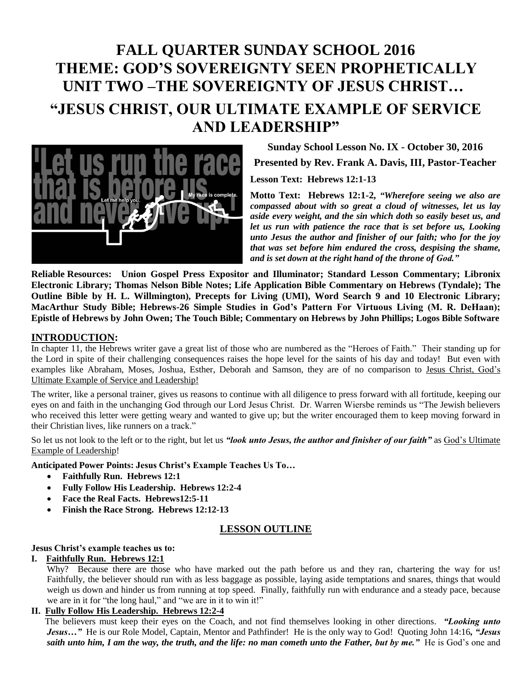# **FALL QUARTER SUNDAY SCHOOL 2016 THEME: GOD'S SOVEREIGNTY SEEN PROPHETICALLY UNIT TWO –THE SOVEREIGNTY OF JESUS CHRIST… "JESUS CHRIST, OUR ULTIMATE EXAMPLE OF SERVICE AND LEADERSHIP"**



**Sunday School Lesson No. IX - October 30, 2016 Presented by Rev. Frank A. Davis, III, Pastor-Teacher Lesson Text: Hebrews 12:1-13** 

**Motto Text: Hebrews 12:1-2,** *"Wherefore seeing we also are compassed about with so great a cloud of witnesses, let us lay aside every weight, and the sin which doth so easily beset us, and let us run with patience the race that is set before us, Looking unto Jesus the author and finisher of our faith; who for the joy that was set before him endured the cross, despising the shame, and is set down at the right hand of the throne of God."*

**Reliable Resources: Union Gospel Press Expositor and Illuminator; Standard Lesson Commentary; Libronix Electronic Library; Thomas Nelson Bible Notes; Life Application Bible Commentary on Hebrews (Tyndale); The Outline Bible by H. L. Willmington), Precepts for Living (UMI), Word Search 9 and 10 Electronic Library; MacArthur Study Bible; Hebrews-26 Simple Studies in God's Pattern For Virtuous Living (M. R. DeHaan); Epistle of Hebrews by John Owen; The Touch Bible; Commentary on Hebrews by John Phillips; Logos Bible Software**

## **INTRODUCTION:**

In chapter 11, the Hebrews writer gave a great list of those who are numbered as the "Heroes of Faith." Their standing up for the Lord in spite of their challenging consequences raises the hope level for the saints of his day and today! But even with examples like Abraham, Moses, Joshua, Esther, Deborah and Samson, they are of no comparison to Jesus Christ, God's Ultimate Example of Service and Leadership!

The writer, like a personal trainer, gives us reasons to continue with all diligence to press forward with all fortitude, keeping our eyes on and faith in the unchanging God through our Lord Jesus Christ. Dr. Warren Wiersbe reminds us "The Jewish believers who received this letter were getting weary and wanted to give up; but the writer encouraged them to keep moving forward in their Christian lives, like runners on a track."

So let us not look to the left or to the right, but let us *"look unto Jesus, the author and finisher of our faith*" as God's Ultimate Example of Leadership!

**Anticipated Power Points: Jesus Christ's Example Teaches Us To…**

- **Faithfully Run. Hebrews 12:1**
- **Fully Follow His Leadership. Hebrews 12:2-4**
- **Face the Real Facts. Hebrews12:5-11**
- **Finish the Race Strong. Hebrews 12:12-13**

## **LESSON OUTLINE**

#### **Jesus Christ's example teaches us to:**

#### **I. Faithfully Run. Hebrews 12:1**

Why? Because there are those who have marked out the path before us and they ran, chartering the way for us! Faithfully, the believer should run with as less baggage as possible, laying aside temptations and snares, things that would weigh us down and hinder us from running at top speed. Finally, faithfully run with endurance and a steady pace, because we are in it for "the long haul," and "we are in it to win it!"

## **II. Fully Follow His Leadership. Hebrews 12:2-4**

 The believers must keep their eyes on the Coach, and not find themselves looking in other directions. *"Looking unto Jesus…"* He is our Role Model, Captain, Mentor and Pathfinder! He is the only way to God! Quoting John 14:16*, "Jesus saith unto him, I am the way, the truth, and the life: no man cometh unto the Father, but by me."* He is God's one and